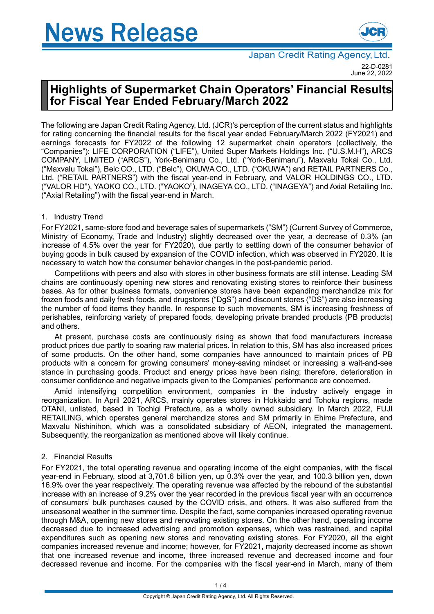# **News Release**



# **Highlights of Supermarket Chain Operators' Financial Results for Fiscal Year Ended February/March 2022**

The following are Japan Credit Rating Agency, Ltd. (JCR)'s perception of the current status and highlights for rating concerning the financial results for the fiscal year ended February/March 2022 (FY2021) and earnings forecasts for FY2022 of the following 12 supermarket chain operators (collectively, the "Companies"): LIFE CORPORATION ("LIFE"), United Super Markets Holdings Inc. ("U.S.M.H"), ARCS COMPANY, LIMITED ("ARCS"), York-Benimaru Co., Ltd. ("York-Benimaru"), Maxvalu Tokai Co., Ltd. ("Maxvalu Tokai"), Belc CO., LTD. ("Belc"), OKUWA CO., LTD. ("OKUWA") and RETAIL PARTNERS Co., Ltd. ("RETAIL PARTNERS") with the fiscal year-end in February, and VALOR HOLDINGS CO., LTD. ("VALOR HD"), YAOKO CO., LTD. ("YAOKO"), INAGEYA CO., LTD. ("INAGEYA") and Axial Retailing Inc. ("Axial Retailing") with the fiscal year-end in March.

## 1. Industry Trend

For FY2021, same-store food and beverage sales of supermarkets ("SM") (Current Survey of Commerce, Ministry of Economy, Trade and Industry) slightly decreased over the year, a decrease of 0.3% (an increase of 4.5% over the year for FY2020), due partly to settling down of the consumer behavior of buying goods in bulk caused by expansion of the COVID infection, which was observed in FY2020. It is necessary to watch how the consumer behavior changes in the post-pandemic period.

Competitions with peers and also with stores in other business formats are still intense. Leading SM chains are continuously opening new stores and renovating existing stores to reinforce their business bases. As for other business formats, convenience stores have been expanding merchandize mix for frozen foods and daily fresh foods, and drugstores ("DgS") and discount stores ("DS") are also increasing the number of food items they handle. In response to such movements, SM is increasing freshness of perishables, reinforcing variety of prepared foods, developing private branded products (PB products) and others.

At present, purchase costs are continuously rising as shown that food manufacturers increase product prices due partly to soaring raw material prices. In relation to this, SM has also increased prices of some products. On the other hand, some companies have announced to maintain prices of PB products with a concern for growing consumers' money-saving mindset or increasing a wait-and-see stance in purchasing goods. Product and energy prices have been rising; therefore, deterioration in consumer confidence and negative impacts given to the Companies' performance are concerned.

Amid intensifying competition environment, companies in the industry actively engage in reorganization. In April 2021, ARCS, mainly operates stores in Hokkaido and Tohoku regions, made OTANI, unlisted, based in Tochigi Prefecture, as a wholly owned subsidiary. In March 2022, FUJI RETAILING, which operates general merchandize stores and SM primarily in Ehime Prefecture, and Maxvalu Nishinihon, which was a consolidated subsidiary of AEON, integrated the management. Subsequently, the reorganization as mentioned above will likely continue.

### 2. Financial Results

For FY2021, the total operating revenue and operating income of the eight companies, with the fiscal year-end in February, stood at 3,701.6 billion yen, up 0.3% over the year, and 100.3 billion yen, down 16.9% over the year respectively. The operating revenue was affected by the rebound of the substantial increase with an increase of 9.2% over the year recorded in the previous fiscal year with an occurrence of consumers' bulk purchases caused by the COVID crisis, and others. It was also suffered from the unseasonal weather in the summer time. Despite the fact, some companies increased operating revenue through M&A, opening new stores and renovating existing stores. On the other hand, operating income decreased due to increased advertising and promotion expenses, which was restrained, and capital expenditures such as opening new stores and renovating existing stores. For FY2020, all the eight companies increased revenue and income; however, for FY2021, majority decreased income as shown that one increased revenue and income, three increased revenue and decreased income and four decreased revenue and income. For the companies with the fiscal year-end in March, many of them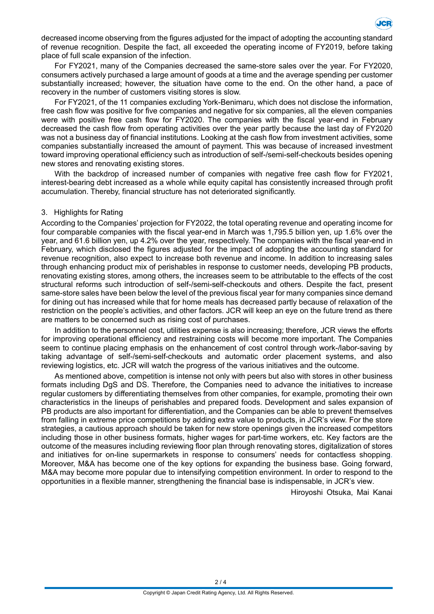

decreased income observing from the figures adjusted for the impact of adopting the accounting standard of revenue recognition. Despite the fact, all exceeded the operating income of FY2019, before taking place of full scale expansion of the infection.

For FY2021, many of the Companies decreased the same-store sales over the year. For FY2020, consumers actively purchased a large amount of goods at a time and the average spending per customer substantially increased; however, the situation have come to the end. On the other hand, a pace of recovery in the number of customers visiting stores is slow.

For FY2021, of the 11 companies excluding York-Benimaru, which does not disclose the information, free cash flow was positive for five companies and negative for six companies, all the eleven companies were with positive free cash flow for FY2020. The companies with the fiscal year-end in February decreased the cash flow from operating activities over the year partly because the last day of FY2020 was not a business day of financial institutions. Looking at the cash flow from investment activities, some companies substantially increased the amount of payment. This was because of increased investment toward improving operational efficiency such as introduction of self-/semi-self-checkouts besides opening new stores and renovating existing stores.

With the backdrop of increased number of companies with negative free cash flow for FY2021. interest-bearing debt increased as a whole while equity capital has consistently increased through profit accumulation. Thereby, financial structure has not deteriorated significantly.

#### 3. Highlights for Rating

According to the Companies' projection for FY2022, the total operating revenue and operating income for four comparable companies with the fiscal year-end in March was 1,795.5 billion yen, up 1.6% over the year, and 61.6 billion yen, up 4.2% over the year, respectively. The companies with the fiscal year-end in February, which disclosed the figures adjusted for the impact of adopting the accounting standard for revenue recognition, also expect to increase both revenue and income. In addition to increasing sales through enhancing product mix of perishables in response to customer needs, developing PB products, renovating existing stores, among others, the increases seem to be attributable to the effects of the cost structural reforms such introduction of self-/semi-self-checkouts and others. Despite the fact, present same-store sales have been below the level of the previous fiscal year for many companies since demand for dining out has increased while that for home meals has decreased partly because of relaxation of the restriction on the people's activities, and other factors. JCR will keep an eye on the future trend as there are matters to be concerned such as rising cost of purchases.

In addition to the personnel cost, utilities expense is also increasing; therefore, JCR views the efforts for improving operational efficiency and restraining costs will become more important. The Companies seem to continue placing emphasis on the enhancement of cost control through work-/labor-saving by taking advantage of self-/semi-self-checkouts and automatic order placement systems, and also reviewing logistics, etc. JCR will watch the progress of the various initiatives and the outcome.

As mentioned above, competition is intense not only with peers but also with stores in other business formats including DgS and DS. Therefore, the Companies need to advance the initiatives to increase regular customers by differentiating themselves from other companies, for example, promoting their own characteristics in the lineups of perishables and prepared foods. Development and sales expansion of PB products are also important for differentiation, and the Companies can be able to prevent themselves from falling in extreme price competitions by adding extra value to products, in JCR's view. For the store strategies, a cautious approach should be taken for new store openings given the increased competitors including those in other business formats, higher wages for part-time workers, etc. Key factors are the outcome of the measures including reviewing floor plan through renovating stores, digitalization of stores and initiatives for on-line supermarkets in response to consumers' needs for contactless shopping. Moreover, M&A has become one of the key options for expanding the business base. Going forward, M&A may become more popular due to intensifying competition environment. In order to respond to the opportunities in a flexible manner, strengthening the financial base is indispensable, in JCR's view.

Hiroyoshi Otsuka, Mai Kanai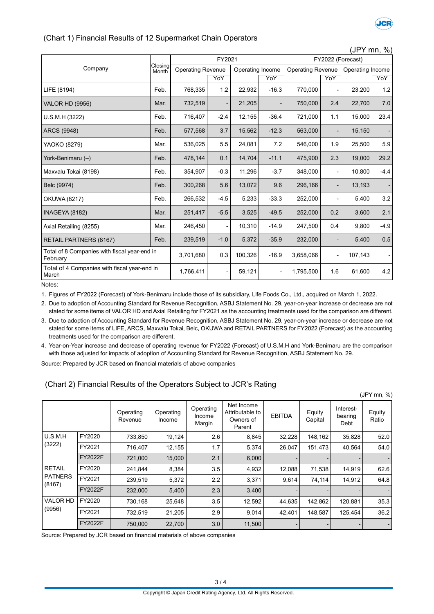

 $(15V \text{ mm} \cdot 0)$ 

#### (Chart 1) Financial Results of 12 Supermarket Chain Operators

|                                                          | Closing<br>Month | FY2021                   |        |                  |         | JE I IIIII, 70<br>FY2022 (Forecast) |     |                  |        |
|----------------------------------------------------------|------------------|--------------------------|--------|------------------|---------|-------------------------------------|-----|------------------|--------|
| Company                                                  |                  | <b>Operating Revenue</b> |        | Operating Income |         | <b>Operating Revenue</b>            |     | Operating Income |        |
|                                                          |                  |                          | YoY    |                  | YoY     |                                     | YoY |                  | YoY    |
| LIFE (8194)                                              | Feb.             | 768,335                  | 1.2    | 22,932           | $-16.3$ | 770,000                             |     | 23,200           | 1.2    |
| <b>VALOR HD (9956)</b>                                   | Mar.             | 732,519                  |        | 21,205           |         | 750,000                             | 2.4 | 22,700           | 7.0    |
| U.S.M.H (3222)                                           | Feb.             | 716,407                  | $-2.4$ | 12,155           | $-36.4$ | 721,000                             | 1.1 | 15,000           | 23.4   |
| ARCS (9948)                                              | Feb.             | 577,568                  | 3.7    | 15,562           | $-12.3$ | 563,000                             |     | 15,150           |        |
| YAOKO (8279)                                             | Mar.             | 536,025                  | 5.5    | 24,081           | 7.2     | 546,000                             | 1.9 | 25,500           | 5.9    |
| York-Benimaru (-)                                        | Feb.             | 478,144                  | 0.1    | 14,704           | $-11.1$ | 475,900                             | 2.3 | 19,000           | 29.2   |
| Maxvalu Tokai (8198)                                     | Feb.             | 354,907                  | $-0.3$ | 11,296           | $-3.7$  | 348,000                             |     | 10,800           | $-4.4$ |
| Belc (9974)                                              | Feb.             | 300,268                  | 5.6    | 13,072           | 9.6     | 296,166                             |     | 13,193           |        |
| <b>OKUWA (8217)</b>                                      | Feb.             | 266,532                  | $-4.5$ | 5,233            | $-33.3$ | 252,000                             |     | 5,400            | 3.2    |
| INAGEYA (8182)                                           | Mar.             | 251,417                  | $-5.5$ | 3,525            | $-49.5$ | 252,000                             | 0.2 | 3,600            | 2.1    |
| Axial Retailing (8255)                                   | Mar.             | 246,450                  |        | 10,310           | $-14.9$ | 247,500                             | 0.4 | 9,800            | $-4.9$ |
| <b>RETAIL PARTNERS (8167)</b>                            | Feb.             | 239,519                  | $-1.0$ | 5,372            | $-35.9$ | 232,000                             |     | 5,400            | 0.5    |
| Total of 8 Companies with fiscal year-end in<br>February |                  | 3,701,680                | 0.3    | 100,326          | $-16.9$ | 3,658,066                           |     | 107,143          |        |
| Total of 4 Companies with fiscal year-end in<br>March    |                  | 1,766,411                |        | 59,121           |         | 1,795,500                           | 1.6 | 61,600           | 4.2    |

Notes:

1. Figures of FY2022 (Forecast) of York-Benimaru include those of its subsidiary, Life Foods Co., Ltd., acquired on March 1, 2022.

2. Due to adoption of Accounting Standard for Revenue Recognition, ASBJ Statement No. 29, year-on-year increase or decrease are not stated for some items of VALOR HD and Axial Retailing for FY2021 as the accounting treatments used for the comparison are different.

3. Due to adoption of Accounting Standard for Revenue Recognition, ASBJ Statement No. 29, year-on-year increase or decrease are not stated for some items of LIFE, ARCS, Maxvalu Tokai, Belc, OKUWA and RETAIL PARTNERS for FY2022 (Forecast) as the accounting treatments used for the comparison are different.

4. Year-on-Year increase and decrease of operating revenue for FY2022 (Forecast) of U.S.M.H and York-Benimaru are the comparison with those adjusted for impacts of adoption of Accounting Standard for Revenue Recognition, ASBJ Statement No. 29.

Source: Prepared by JCR based on financial materials of above companies

#### (Chart 2) Financial Results of the Operators Subject to JCR's Rating

|                                           |                |                      |                     |                               |                                                      |               |                   |                              | (JPY mn, %)     |
|-------------------------------------------|----------------|----------------------|---------------------|-------------------------------|------------------------------------------------------|---------------|-------------------|------------------------------|-----------------|
|                                           |                | Operating<br>Revenue | Operating<br>Income | Operating<br>Income<br>Margin | Net Income<br>Attributable to<br>Owners of<br>Parent | <b>EBITDA</b> | Equity<br>Capital | Interest-<br>bearing<br>Debt | Equity<br>Ratio |
| U.S.M.H<br>(3222)                         | FY2020         | 733,850              | 19,124              | 2.6                           | 8,845                                                | 32,228        | 148,162           | 35,828                       | 52.0            |
|                                           | FY2021         | 716,407              | 12,155              | 1.7                           | 5,374                                                | 26,047        | 151,473           | 40,564                       | 54.0            |
|                                           | <b>FY2022F</b> | 721.000              | 15,000              | 2.1                           | 6,000                                                |               |                   |                              |                 |
| <b>RETAIL</b><br><b>PATNERS</b><br>(8167) | FY2020         | 241,844              | 8,384               | 3.5                           | 4,932                                                | 12,088        | 71,538            | 14,919                       | 62.6            |
|                                           | FY2021         | 239,519              | 5,372               | 2.2                           | 3,371                                                | 9,614         | 74,114            | 14,912                       | 64.8            |
|                                           | FY2022F        | 232,000              | 5,400               | 2.3                           | 3,400                                                |               |                   |                              |                 |
| <b>VALOR HD</b><br>(9956)                 | FY2020         | 730,168              | 25,648              | 3.5                           | 12,592                                               | 44,635        | 142,862           | 120,881                      | 35.3            |
|                                           | FY2021         | 732,519              | 21,205              | 2.9                           | 9,014                                                | 42,401        | 148,587           | 125,454                      | 36.2            |
|                                           | FY2022F        | 750,000              | 22,700              | 3.0                           | 11,500                                               |               |                   |                              |                 |

Source: Prepared by JCR based on financial materials of above companies